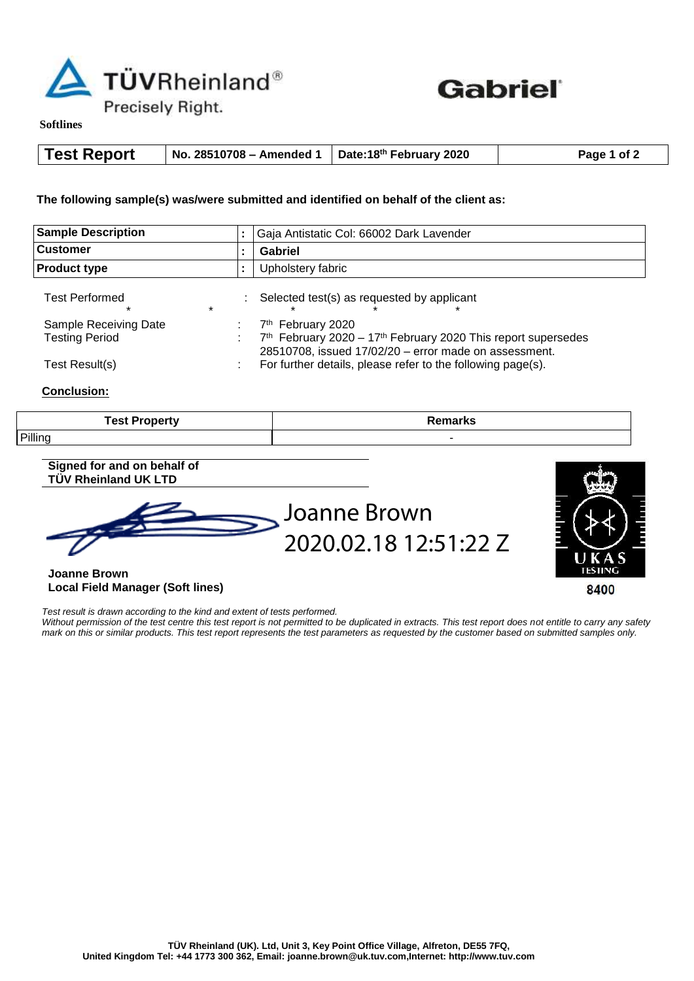



**Softlines** 

| <b>Test Report</b> | No. 28510708 – Amended 1   Date:18 <sup>th</sup> February 2020 |  | Page 1 of 2 |
|--------------------|----------------------------------------------------------------|--|-------------|
|--------------------|----------------------------------------------------------------|--|-------------|

**The following sample(s) was/were submitted and identified on behalf of the client as:**

| <b>Sample Description</b><br><b>Customer</b>   |         | Gaja Antistatic Col: 66002 Dark Lavender<br>Gabriel                                                                                                                   |  |
|------------------------------------------------|---------|-----------------------------------------------------------------------------------------------------------------------------------------------------------------------|--|
|                                                |         |                                                                                                                                                                       |  |
| <b>Test Performed</b><br>$\star$               | $\star$ | Selected test(s) as requested by applicant                                                                                                                            |  |
| Sample Receiving Date<br><b>Testing Period</b> |         | 7 <sup>th</sup> February 2020<br>$7th$ February 2020 – 17 <sup>th</sup> February 2020 This report supersedes<br>28510708, issued 17/02/20 - error made on assessment. |  |
| Test Result(s)                                 |         | For further details, please refer to the following page(s).                                                                                                           |  |

## **Conclusion:**

| <b>Test Property</b> | .<br>illal NS. |
|----------------------|----------------|
| <b>Pilling</b>       |                |

## **Signed for and on behalf of TÜV Rheinland UK LTD**





**Joanne Brown Local Field Manager (Soft lines)**

*Test result is drawn according to the kind and extent of tests performed.* 

*Without permission of the test centre this test report is not permitted to be duplicated in extracts. This test report does not entitle to carry any safety mark on this or similar products. This test report represents the test parameters as requested by the customer based on submitted samples only.*